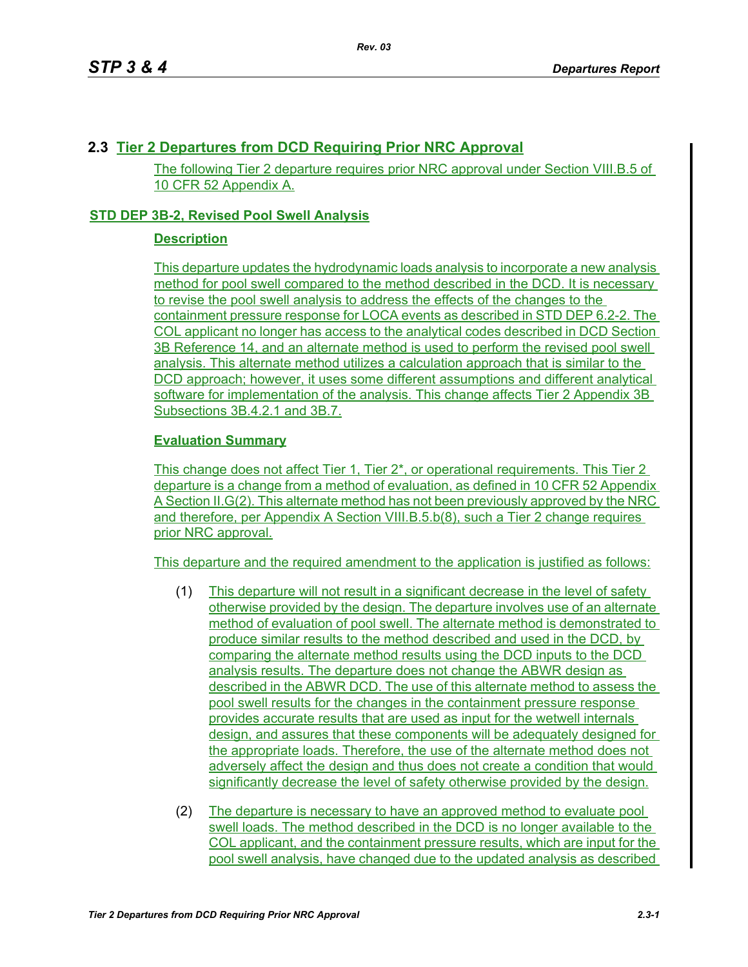## **2.3 Tier 2 Departures from DCD Requiring Prior NRC Approval**

The following Tier 2 departure requires prior NRC approval under Section VIII.B.5 of 10 CFR 52 Appendix A.

## **STD DEP 3B-2, Revised Pool Swell Analysis**

## **Description**

This departure updates the hydrodynamic loads analysis to incorporate a new analysis method for pool swell compared to the method described in the DCD. It is necessary to revise the pool swell analysis to address the effects of the changes to the containment pressure response for LOCA events as described in STD DEP 6.2-2. The COL applicant no longer has access to the analytical codes described in DCD Section 3B Reference 14, and an alternate method is used to perform the revised pool swell analysis. This alternate method utilizes a calculation approach that is similar to the DCD approach; however, it uses some different assumptions and different analytical software for implementation of the analysis. This change affects Tier 2 Appendix 3B Subsections 3B.4.2.1 and 3B.7.

## **Evaluation Summary**

This change does not affect Tier 1, Tier 2\*, or operational requirements. This Tier 2 departure is a change from a method of evaluation, as defined in 10 CFR 52 Appendix A Section II.G(2). This alternate method has not been previously approved by the NRC and therefore, per Appendix A Section VIII.B.5.b(8), such a Tier 2 change requires prior NRC approval.

This departure and the required amendment to the application is justified as follows:

- (1) This departure will not result in a significant decrease in the level of safety otherwise provided by the design. The departure involves use of an alternate method of evaluation of pool swell. The alternate method is demonstrated to produce similar results to the method described and used in the DCD, by comparing the alternate method results using the DCD inputs to the DCD analysis results. The departure does not change the ABWR design as described in the ABWR DCD. The use of this alternate method to assess the pool swell results for the changes in the containment pressure response provides accurate results that are used as input for the wetwell internals design, and assures that these components will be adequately designed for the appropriate loads. Therefore, the use of the alternate method does not adversely affect the design and thus does not create a condition that would significantly decrease the level of safety otherwise provided by the design.
- (2) The departure is necessary to have an approved method to evaluate pool swell loads. The method described in the DCD is no longer available to the COL applicant, and the containment pressure results, which are input for the pool swell analysis, have changed due to the updated analysis as described